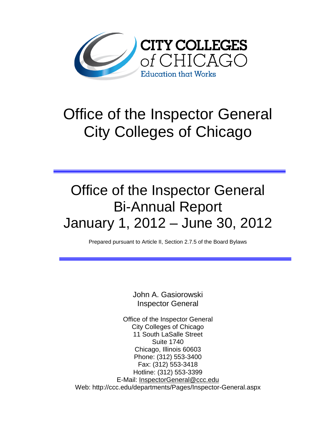

# Office of the Inspector General City Colleges of Chicago

## Office of the Inspector General Bi-Annual Report January 1, 2012 – June 30, 2012

Prepared pursuant to Article II, Section 2.7.5 of the Board Bylaws

John A. Gasiorowski Inspector General

Office of the Inspector General City Colleges of Chicago 11 South LaSalle Street Suite 1740 Chicago, Illinois 60603 Phone: (312) 553-3400 Fax: (312) 553-3418 Hotline: (312) 553-3399 E-Mail: [InspectorGeneral@ccc.edu](mailto:InspectorGeneral@ccc.edu) Web: http://ccc.edu/departments/Pages/Inspector-General.aspx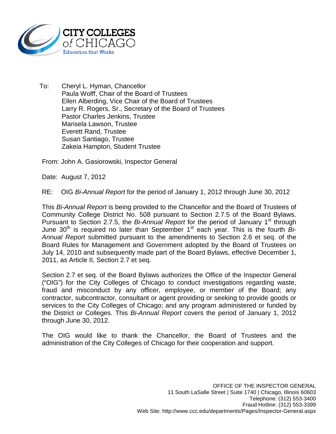

To: Cheryl L. Hyman, Chancellor Paula Wolff, Chair of the Board of Trustees Ellen Alberding, Vice Chair of the Board of Trustees Larry R. Rogers, Sr., Secretary of the Board of Trustees Pastor Charles Jenkins, Trustee Marisela Lawson, Trustee Everett Rand, Trustee Susan Santiago, Trustee Zakeia Hampton, Student Trustee

From: John A. Gasiorowski, Inspector General

Date: August 7, 2012

RE: OIG *Bi-Annual Report* for the period of January 1, 2012 through June 30, 2012

This *Bi-Annual Report* is being provided to the Chancellor and the Board of Trustees of Community College District No. 508 pursuant to Section 2.7.5 of the Board Bylaws. Pursuant to Section 2.7.5, the *Bi-Annual Report* for the period of January 1<sup>st</sup> through June 30<sup>th</sup> is required no later than September 1<sup>st</sup> each year. This is the fourth *Bi-Annual Report* submitted pursuant to the amendments to Section 2.6 et seq. of the Board Rules for Management and Government adopted by the Board of Trustees on July 14, 2010 and subsequently made part of the Board Bylaws, effective December 1, 2011, as Article II, Section 2.7 et seq.

Section 2.7 et seq. of the Board Bylaws authorizes the Office of the Inspector General ("OIG") for the City Colleges of Chicago to conduct investigations regarding waste, fraud and misconduct by any officer, employee, or member of the Board; any contractor, subcontractor, consultant or agent providing or seeking to provide goods or services to the City Colleges of Chicago; and any program administered or funded by the District or Colleges. This *Bi-Annual Report* covers the period of January 1, 2012 through June 30, 2012.

The OIG would like to thank the Chancellor, the Board of Trustees and the administration of the City Colleges of Chicago for their cooperation and support.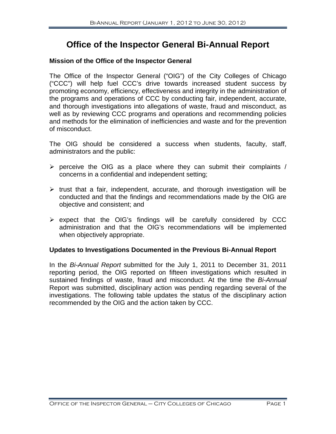### **Office of the Inspector General Bi-Annual Report**

#### **Mission of the Office of the Inspector General**

The Office of the Inspector General ("OIG") of the City Colleges of Chicago ("CCC") will help fuel CCC's drive towards increased student success by promoting economy, efficiency, effectiveness and integrity in the administration of the programs and operations of CCC by conducting fair, independent, accurate, and thorough investigations into allegations of waste, fraud and misconduct, as well as by reviewing CCC programs and operations and recommending policies and methods for the elimination of inefficiencies and waste and for the prevention of misconduct.

The OIG should be considered a success when students, faculty, staff, administrators and the public:

- $\triangleright$  perceive the OIG as a place where they can submit their complaints / concerns in a confidential and independent setting;
- $\triangleright$  trust that a fair, independent, accurate, and thorough investigation will be conducted and that the findings and recommendations made by the OIG are objective and consistent; and
- $\triangleright$  expect that the OIG's findings will be carefully considered by CCC administration and that the OIG's recommendations will be implemented when objectively appropriate.

#### **Updates to Investigations Documented in the Previous Bi-Annual Report**

In the *Bi-Annual Report* submitted for the July 1, 2011 to December 31, 2011 reporting period, the OIG reported on fifteen investigations which resulted in sustained findings of waste, fraud and misconduct. At the time the *Bi-Annual* Report was submitted, disciplinary action was pending regarding several of the investigations. The following table updates the status of the disciplinary action recommended by the OIG and the action taken by CCC.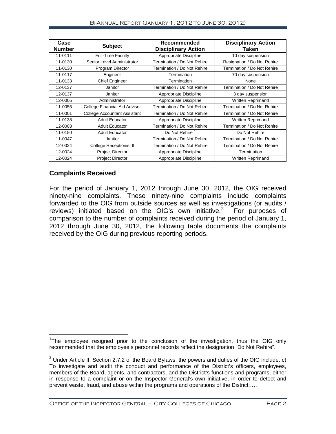| Case<br><b>Number</b> | <b>Subject</b>                      | Recommended<br><b>Disciplinary Action</b> | <b>Disciplinary Action</b><br>Taken |
|-----------------------|-------------------------------------|-------------------------------------------|-------------------------------------|
| 11-0111               | <b>Full-Time Faculty</b>            | Appropriate Discipline                    | 10 day suspension                   |
| 11-0130               | Senior Level Administrator          | Termination / Do Not Rehire               | Resignation / Do Not Rehire         |
| 11-0130               | Program Director                    | Termination / Do Not Rehire               | Termination / Do Not Rehire         |
| 11-0117               | Engineer                            | Termination                               | 70 day suspension                   |
| 11-0133               | <b>Chief Engineer</b>               | Termination                               | None                                |
| 12-0137               | Janitor                             | Termination / Do Not Rehire               | Termination / Do Not Rehire         |
| 12-0137               | Janitor                             | Appropriate Discipline                    | 3 day suspension                    |
| 12-0005               | Administrator                       | Appropriate Discipline                    | Written Reprimand                   |
| 11-0055               | College Financial Aid Advisor       | Termination / Do Not Rehire               | Termination / Do Not Rehire         |
| 11-0001               | <b>College Accountant Assistant</b> | Termination / Do Not Rehire               | Termination / Do Not Rehire         |
| 11-0138               | <b>Adult Educator</b>               | Appropriate Discipline                    | <b>Written Reprimand</b>            |
| 12-0003               | <b>Adult Educator</b>               | Termination / Do Not Rehire               | Termination / Do Not Rehire         |
| 11-0150               | <b>Adult Educator</b>               | Do Not Rehire <sup>1</sup>                | Do Not Rehire                       |
| 11-0047               | Janitor                             | Termination / Do Not Rehire               | Termination / Do Not Rehire         |
| 12-0024               | College Receptionist II             | Termination / Do Not Rehire               | Termination / Do Not Rehire         |
| 12-0024               | <b>Project Director</b>             | Appropriate Discipline                    | Termination                         |
| 12-0024               | <b>Project Director</b>             | Appropriate Discipline                    | Written Reprimand                   |

#### **Complaints Received**

For the period of January 1, 2012 through June 30, 2012, the OIG received ninety-nine complaints. These ninety-nine complaints include complaints forwarded to the OIG from outside sources as well as investigations (or audits / reviews) initiated based on the OIG's own initiative.<sup>[2](#page-3-1)</sup> For purposes of comparison to the number of complaints received during the period of January 1, 2012 through June 30, 2012, the following table documents the complaints received by the OIG during previous reporting periods.

<span id="page-3-0"></span>The employee resigned prior to the conclusion of the investigation, thus the OIG only recommended that the employee's personnel records reflect the designation "Do Not Rehire".

<span id="page-3-1"></span><sup>&</sup>lt;sup>2</sup> Under Article II, Section 2.7.2 of the Board Bylaws, the powers and duties of the OIG include: c) To investigate and audit the conduct and performance of the District's officers, employees, members of the Board, agents, and contractors, and the District's functions and programs, either in response to a complaint or on the Inspector General's own initiative, in order to detect and prevent waste, fraud, and abuse within the programs and operations of the District;….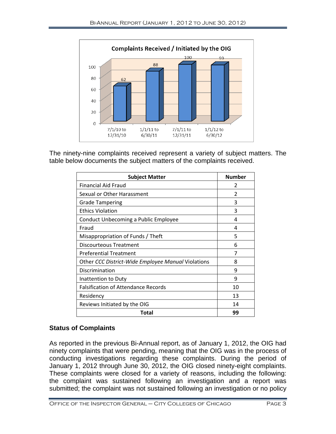

The ninety-nine complaints received represent a variety of subject matters. The table below documents the subject matters of the complaints received.

| <b>Subject Matter</b>                              | <b>Number</b> |
|----------------------------------------------------|---------------|
| Financial Aid Fraud                                | 2             |
| Sexual or Other Harassment                         | 2             |
| <b>Grade Tampering</b>                             | 3             |
| <b>Ethics Violation</b>                            | 3             |
| Conduct Unbecoming a Public Employee               | 4             |
| Fraud                                              | 4             |
| Misappropriation of Funds / Theft                  | 5             |
| <b>Discourteous Treatment</b>                      | 6             |
| <b>Preferential Treatment</b>                      | 7             |
| Other CCC District-Wide Employee Manual Violations | 8             |
| Discrimination                                     | 9             |
| Inattention to Duty                                | 9             |
| <b>Falsification of Attendance Records</b>         | 10            |
| Residency                                          | 13            |
| Reviews Initiated by the OIG                       | 14            |
| Total                                              | 99            |

#### **Status of Complaints**

As reported in the previous Bi-Annual report, as of January 1, 2012, the OIG had ninety complaints that were pending, meaning that the OIG was in the process of conducting investigations regarding these complaints. During the period of January 1, 2012 through June 30, 2012, the OIG closed ninety-eight complaints. These complaints were closed for a variety of reasons, including the following: the complaint was sustained following an investigation and a report was submitted; the complaint was not sustained following an investigation or no policy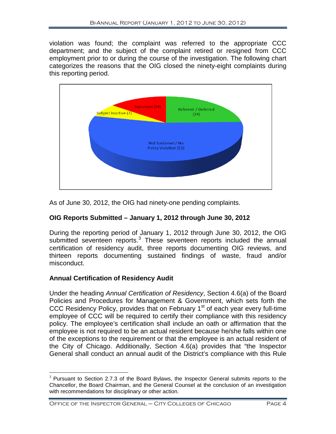violation was found; the complaint was referred to the appropriate CCC department; and the subject of the complaint retired or resigned from CCC employment prior to or during the course of the investigation. The following chart categorizes the reasons that the OIG closed the ninety-eight complaints during this reporting period.



As of June 30, 2012, the OIG had ninety-one pending complaints.

#### **OIG Reports Submitted – January 1, 2012 through June 30, 2012**

During the reporting period of January 1, 2012 through June 30, 2012, the OIG submitted seventeen reports.<sup>[3](#page-5-0)</sup> These seventeen reports included the annual certification of residency audit, three reports documenting OIG reviews, and thirteen reports documenting sustained findings of waste, fraud and/or misconduct.

#### **Annual Certification of Residency Audit**

Under the heading *Annual Certification of Residency*, Section 4.6(a) of the Board Policies and Procedures for Management & Government, which sets forth the CCC Residency Policy, provides that on February  $1<sup>st</sup>$  of each year every full-time employee of CCC will be required to certify their compliance with this residency policy. The employee's certification shall include an oath or affirmation that the employee is not required to be an actual resident because he/she falls within one of the exceptions to the requirement or that the employee is an actual resident of the City of Chicago. Additionally, Section 4.6(a) provides that "the Inspector General shall conduct an annual audit of the District's compliance with this Rule

<span id="page-5-0"></span> $3$  Pursuant to Section 2.7.3 of the Board Bylaws, the Inspector General submits reports to the Chancellor, the Board Chairman, and the General Counsel at the conclusion of an investigation with recommendations for disciplinary or other action.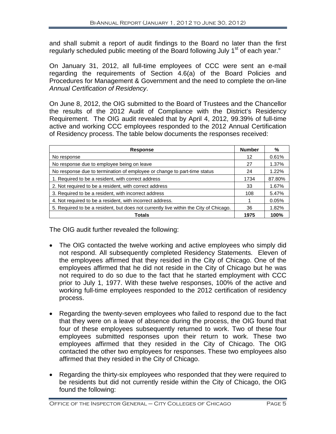and shall submit a report of audit findings to the Board no later than the first regularly scheduled public meeting of the Board following July  $1<sup>st</sup>$  of each year."

On January 31, 2012, all full-time employees of CCC were sent an e-mail regarding the requirements of Section 4.6(a) of the Board Policies and Procedures for Management & Government and the need to complete the on-line *Annual Certification of Residency*.

On June 8, 2012, the OIG submitted to the Board of Trustees and the Chancellor the results of the 2012 Audit of Compliance with the District's Residency Requirement. The OIG audit revealed that by April 4, 2012, 99.39% of full-time active and working CCC employees responded to the 2012 Annual Certification of Residency process. The table below documents the responses received:

| <b>Response</b>                                                                       | <b>Number</b> | %      |
|---------------------------------------------------------------------------------------|---------------|--------|
| No response                                                                           |               | 0.61%  |
| No response due to employee being on leave                                            | 27            | 1.37%  |
| No response due to termination of employee or change to part-time status              | 24            | 1.22%  |
| 1. Required to be a resident, with correct address                                    |               | 87.80% |
| 2. Not required to be a resident, with correct address                                |               | 1.67%  |
| 3. Required to be a resident, with incorrect address                                  |               | 5.47%  |
| 4. Not required to be a resident, with incorrect address.                             |               | 0.05%  |
| 5. Required to be a resident, but does not currently live within the City of Chicago. | 36            | 1.82%  |
| Totals                                                                                | 1975          | 100%   |

The OIG audit further revealed the following:

- The OIG contacted the twelve working and active employees who simply did not respond. All subsequently completed Residency Statements. Eleven of the employees affirmed that they resided in the City of Chicago. One of the employees affirmed that he did not reside in the City of Chicago but he was not required to do so due to the fact that he started employment with CCC prior to July 1, 1977. With these twelve responses, 100% of the active and working full-time employees responded to the 2012 certification of residency process.
- Regarding the twenty-seven employees who failed to respond due to the fact that they were on a leave of absence during the process, the OIG found that four of these employees subsequently returned to work. Two of these four employees submitted responses upon their return to work. These two employees affirmed that they resided in the City of Chicago. The OIG contacted the other two employees for responses. These two employees also affirmed that they resided in the City of Chicago.
- Regarding the thirty-six employees who responded that they were required to be residents but did not currently reside within the City of Chicago, the OIG found the following: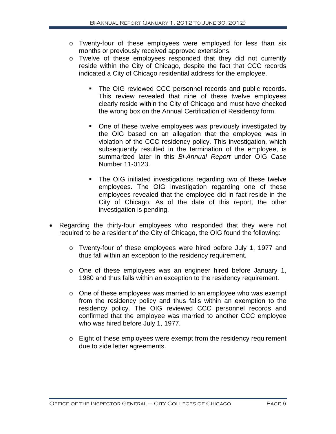- o Twenty-four of these employees were employed for less than six months or previously received approved extensions.
- o Twelve of these employees responded that they did not currently reside within the City of Chicago, despite the fact that CCC records indicated a City of Chicago residential address for the employee.
	- **The OIG reviewed CCC personnel records and public records.** This review revealed that nine of these twelve employees clearly reside within the City of Chicago and must have checked the wrong box on the Annual Certification of Residency form.
	- One of these twelve employees was previously investigated by the OIG based on an allegation that the employee was in violation of the CCC residency policy. This investigation, which subsequently resulted in the termination of the employee, is summarized later in this *Bi-Annual Report* under OIG Case Number 11-0123.
	- The OIG initiated investigations regarding two of these twelve employees. The OIG investigation regarding one of these employees revealed that the employee did in fact reside in the City of Chicago. As of the date of this report, the other investigation is pending.
- Regarding the thirty-four employees who responded that they were not required to be a resident of the City of Chicago, the OIG found the following:
	- o Twenty-four of these employees were hired before July 1, 1977 and thus fall within an exception to the residency requirement.
	- o One of these employees was an engineer hired before January 1, 1980 and thus falls within an exception to the residency requirement.
	- o One of these employees was married to an employee who was exempt from the residency policy and thus falls within an exemption to the residency policy. The OIG reviewed CCC personnel records and confirmed that the employee was married to another CCC employee who was hired before July 1, 1977.
	- o Eight of these employees were exempt from the residency requirement due to side letter agreements.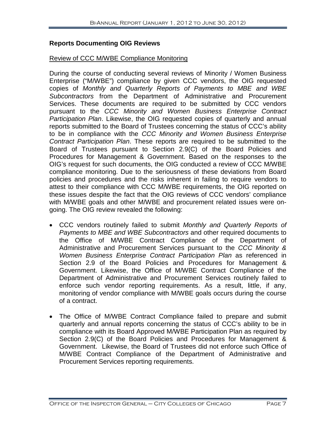#### **Reports Documenting OIG Reviews**

#### Review of CCC M/WBE Compliance Monitoring

During the course of conducting several reviews of Minority / Women Business Enterprise ("M/WBE") compliance by given CCC vendors, the OIG requested copies of *Monthly and Quarterly Reports of Payments to MBE and WBE Subcontractors* from the Department of Administrative and Procurement Services. These documents are required to be submitted by CCC vendors pursuant to the *CCC Minority and Women Business Enterprise Contract Participation Plan*. Likewise, the OIG requested copies of quarterly and annual reports submitted to the Board of Trustees concerning the status of CCC's ability to be in compliance with the *CCC Minority and Women Business Enterprise Contract Participation Plan*. These reports are required to be submitted to the Board of Trustees pursuant to Section 2.9(C) of the Board Policies and Procedures for Management & Government. Based on the responses to the OIG's request for such documents, the OIG conducted a review of CCC M/WBE compliance monitoring. Due to the seriousness of these deviations from Board policies and procedures and the risks inherent in failing to require vendors to attest to their compliance with CCC M/WBE requirements, the OIG reported on these issues despite the fact that the OIG reviews of CCC vendors' compliance with M/WBE goals and other M/WBE and procurement related issues were ongoing. The OIG review revealed the following:

- CCC vendors routinely failed to submit *Monthly and Quarterly Reports of Payments to MBE and WBE Subcontractors* and other required documents to the Office of M/WBE Contract Compliance of the Department of Administrative and Procurement Services pursuant to the *CCC Minority & Women Business Enterprise Contract Participation Plan* as referenced in Section 2.9 of the Board Policies and Procedures for Management & Government. Likewise, the Office of M/WBE Contract Compliance of the Department of Administrative and Procurement Services routinely failed to enforce such vendor reporting requirements. As a result, little, if any, monitoring of vendor compliance with M/WBE goals occurs during the course of a contract.
- The Office of M/WBE Contract Compliance failed to prepare and submit quarterly and annual reports concerning the status of CCC's ability to be in compliance with its Board Approved M/WBE Participation Plan as required by Section 2.9(C) of the Board Policies and Procedures for Management & Government. Likewise, the Board of Trustees did not enforce such Office of M/WBE Contract Compliance of the Department of Administrative and Procurement Services reporting requirements.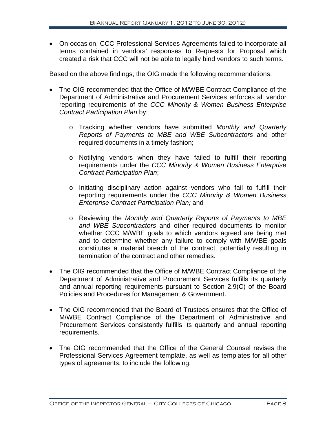• On occasion, CCC Professional Services Agreements failed to incorporate all terms contained in vendors' responses to Requests for Proposal which created a risk that CCC will not be able to legally bind vendors to such terms.

Based on the above findings, the OIG made the following recommendations:

- The OIG recommended that the Office of M/WBE Contract Compliance of the Department of Administrative and Procurement Services enforces all vendor reporting requirements of the *CCC Minority & Women Business Enterprise Contract Participation Plan* by:
	- o Tracking whether vendors have submitted *Monthly and Quarterly Reports of Payments to MBE and WBE Subcontractors* and other required documents in a timely fashion;
	- o Notifying vendors when they have failed to fulfill their reporting requirements under the *CCC Minority & Women Business Enterprise Contract Participation Plan*;
	- o Initiating disciplinary action against vendors who fail to fulfill their reporting requirements under the *CCC Minority & Women Business Enterprise Contract Participation Plan;* and
	- o Reviewing the *Monthly and Quarterly Reports of Payments to MBE and WBE Subcontractors* and other required documents to monitor whether CCC M/WBE goals to which vendors agreed are being met and to determine whether any failure to comply with M/WBE goals constitutes a material breach of the contract, potentially resulting in termination of the contract and other remedies.
- The OIG recommended that the Office of M/WBE Contract Compliance of the Department of Administrative and Procurement Services fulfills its quarterly and annual reporting requirements pursuant to Section 2.9(C) of the Board Policies and Procedures for Management & Government.
- The OIG recommended that the Board of Trustees ensures that the Office of M/WBE Contract Compliance of the Department of Administrative and Procurement Services consistently fulfills its quarterly and annual reporting requirements.
- The OIG recommended that the Office of the General Counsel revises the Professional Services Agreement template, as well as templates for all other types of agreements, to include the following: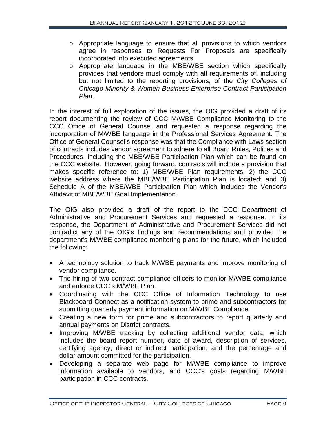- o Appropriate language to ensure that all provisions to which vendors agree in responses to Requests For Proposals are specifically incorporated into executed agreements.
- o Appropriate language in the MBE/WBE section which specifically provides that vendors must comply with all requirements of, including but not limited to the reporting provisions, of the *City Colleges of Chicago Minority & Women Business Enterprise Contract Participation Plan*.

In the interest of full exploration of the issues, the OIG provided a draft of its report documenting the review of CCC M/WBE Compliance Monitoring to the CCC Office of General Counsel and requested a response regarding the incorporation of M/WBE language in the Professional Services Agreement. The Office of General Counsel's response was that the Compliance with Laws section of contracts includes vendor agreement to adhere to all Board Rules, Polices and Procedures, including the MBE/WBE Participation Plan which can be found on the CCC website. However, going forward, contracts will include a provision that makes specific reference to: 1) MBE/WBE Plan requirements; 2) the CCC website address where the MBE/WBE Participation Plan is located; and 3) Schedule A of the MBE/WBE Participation Plan which includes the Vendor's Affidavit of MBE/WBE Goal Implementation.

The OIG also provided a draft of the report to the CCC Department of Administrative and Procurement Services and requested a response. In its response, the Department of Administrative and Procurement Services did not contradict any of the OIG's findings and recommendations and provided the department's M/WBE compliance monitoring plans for the future, which included the following:

- A technology solution to track M/WBE payments and improve monitoring of vendor compliance.
- The hiring of two contract compliance officers to monitor M/WBE compliance and enforce CCC's M/WBE Plan.
- Coordinating with the CCC Office of Information Technology to use Blackboard Connect as a notification system to prime and subcontractors for submitting quarterly payment information on M/WBE Compliance.
- Creating a new form for prime and subcontractors to report quarterly and annual payments on District contracts.
- Improving M/WBE tracking by collecting additional vendor data, which includes the board report number, date of award, description of services, certifying agency, direct or indirect participation, and the percentage and dollar amount committed for the participation.
- Developing a separate web page for M/WBE compliance to improve information available to vendors, and CCC's goals regarding M/WBE participation in CCC contracts.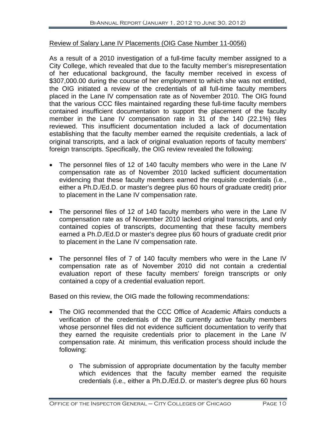#### Review of Salary Lane IV Placements (OIG Case Number 11-0056)

As a result of a 2010 investigation of a full-time faculty member assigned to a City College, which revealed that due to the faculty member's misrepresentation of her educational background, the faculty member received in excess of \$307,000.00 during the course of her employment to which she was not entitled, the OIG initiated a review of the credentials of all full-time faculty members placed in the Lane IV compensation rate as of November 2010. The OIG found that the various CCC files maintained regarding these full-time faculty members contained insufficient documentation to support the placement of the faculty member in the Lane IV compensation rate in 31 of the 140 (22.1%) files reviewed. This insufficient documentation included a lack of documentation establishing that the faculty member earned the requisite credentials, a lack of original transcripts, and a lack of original evaluation reports of faculty members' foreign transcripts. Specifically, the OIG review revealed the following:

- The personnel files of 12 of 140 faculty members who were in the Lane IV compensation rate as of November 2010 lacked sufficient documentation evidencing that these faculty members earned the requisite credentials (i.e., either a Ph.D./Ed.D. or master's degree plus 60 hours of graduate credit) prior to placement in the Lane IV compensation rate.
- The personnel files of 12 of 140 faculty members who were in the Lane IV compensation rate as of November 2010 lacked original transcripts, and only contained copies of transcripts, documenting that these faculty members earned a Ph.D./Ed.D or master's degree plus 60 hours of graduate credit prior to placement in the Lane IV compensation rate.
- The personnel files of 7 of 140 faculty members who were in the Lane IV compensation rate as of November 2010 did not contain a credential evaluation report of these faculty members' foreign transcripts or only contained a copy of a credential evaluation report.

Based on this review, the OIG made the following recommendations:

- The OIG recommended that the CCC Office of Academic Affairs conducts a verification of the credentials of the 28 currently active faculty members whose personnel files did not evidence sufficient documentation to verify that they earned the requisite credentials prior to placement in the Lane IV compensation rate. At minimum, this verification process should include the following:
	- o The submission of appropriate documentation by the faculty member which evidences that the faculty member earned the requisite credentials (i.e., either a Ph.D./Ed.D. or master's degree plus 60 hours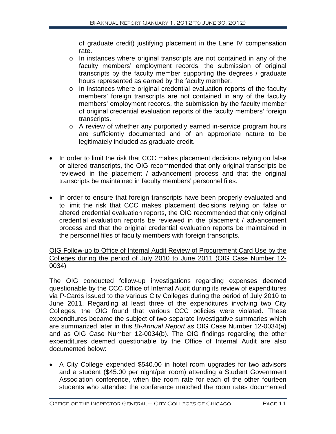of graduate credit) justifying placement in the Lane IV compensation rate.

- o In instances where original transcripts are not contained in any of the faculty members' employment records, the submission of original transcripts by the faculty member supporting the degrees / graduate hours represented as earned by the faculty member.
- o In instances where original credential evaluation reports of the faculty members' foreign transcripts are not contained in any of the faculty members' employment records, the submission by the faculty member of original credential evaluation reports of the faculty members' foreign transcripts.
- o A review of whether any purportedly earned in-service program hours are sufficiently documented and of an appropriate nature to be legitimately included as graduate credit.
- In order to limit the risk that CCC makes placement decisions relying on false or altered transcripts, the OIG recommended that only original transcripts be reviewed in the placement / advancement process and that the original transcripts be maintained in faculty members' personnel files.
- In order to ensure that foreign transcripts have been properly evaluated and to limit the risk that CCC makes placement decisions relying on false or altered credential evaluation reports, the OIG recommended that only original credential evaluation reports be reviewed in the placement / advancement process and that the original credential evaluation reports be maintained in the personnel files of faculty members with foreign transcripts.

#### OIG Follow-up to Office of Internal Audit Review of Procurement Card Use by the Colleges during the period of July 2010 to June 2011 (OIG Case Number 12- 0034)

The OIG conducted follow-up investigations regarding expenses deemed questionable by the CCC Office of Internal Audit during its review of expenditures via P-Cards issued to the various City Colleges during the period of July 2010 to June 2011. Regarding at least three of the expenditures involving two City Colleges, the OIG found that various CCC policies were violated. These expenditures became the subject of two separate investigative summaries which are summarized later in this *Bi-Annual Report* as OIG Case Number 12-0034(a) and as OIG Case Number 12-0034(b). The OIG findings regarding the other expenditures deemed questionable by the Office of Internal Audit are also documented below:

• A City College expended \$540.00 in hotel room upgrades for two advisors and a student (\$45.00 per night/per room) attending a Student Government Association conference, when the room rate for each of the other fourteen students who attended the conference matched the room rates documented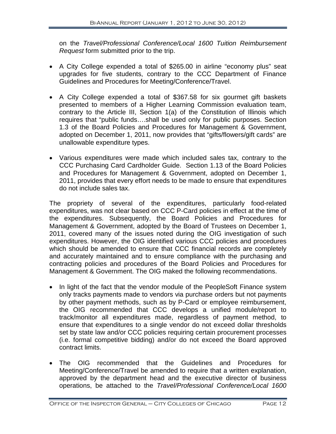on the *Travel/Professional Conference/Local 1600 Tuition Reimbursement Request* form submitted prior to the trip.

- A City College expended a total of \$265.00 in airline "economy plus" seat upgrades for five students, contrary to the CCC Department of Finance Guidelines and Procedures for Meeting/Conference/Travel.
- A City College expended a total of \$367.58 for six gourmet gift baskets presented to members of a Higher Learning Commission evaluation team, contrary to the Article III, Section 1(a) of the Constitution of Illinois which requires that "public funds….shall be used only for public purposes. Section 1.3 of the Board Policies and Procedures for Management & Government, adopted on December 1, 2011, now provides that "gifts/flowers/gift cards" are unallowable expenditure types.
- Various expenditures were made which included sales tax, contrary to the CCC Purchasing Card Cardholder Guide. Section 1.13 of the Board Policies and Procedures for Management & Government, adopted on December 1, 2011, provides that every effort needs to be made to ensure that expenditures do not include sales tax.

The propriety of several of the expenditures, particularly food-related expenditures, was not clear based on CCC P-Card policies in effect at the time of the expenditures. Subsequently, the Board Policies and Procedures for Management & Government, adopted by the Board of Trustees on December 1, 2011, covered many of the issues noted during the OIG investigation of such expenditures. However, the OIG identified various CCC policies and procedures which should be amended to ensure that CCC financial records are completely and accurately maintained and to ensure compliance with the purchasing and contracting policies and procedures of the Board Policies and Procedures for Management & Government. The OIG maked the following recommendations.

- In light of the fact that the vendor module of the PeopleSoft Finance system only tracks payments made to vendors via purchase orders but not payments by other payment methods, such as by P-Card or employee reimbursement, the OIG recommended that CCC develops a unified module/report to track/monitor all expenditures made, regardless of payment method, to ensure that expenditures to a single vendor do not exceed dollar thresholds set by state law and/or CCC policies requiring certain procurement processes (i.e. formal competitive bidding) and/or do not exceed the Board approved contract limits.
- The OIG recommended that the Guidelines and Procedures for Meeting/Conference/Travel be amended to require that a written explanation, approved by the department head and the executive director of business operations, be attached to the *Travel/Professional Conference/Local 1600*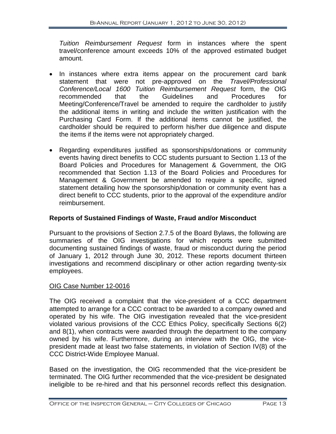*Tuition Reimbursement Request* form in instances where the spent travel/conference amount exceeds 10% of the approved estimated budget amount.

- In instances where extra items appear on the procurement card bank statement that were not pre-approved on the *Travel/Professional Conference/Local 1600 Tuition Reimbursement Request* form, the OIG recommended that the Guidelines and Procedures for Meeting/Conference/Travel be amended to require the cardholder to justify the additional items in writing and include the written justification with the Purchasing Card Form. If the additional items cannot be justified, the cardholder should be required to perform his/her due diligence and dispute the items if the items were not appropriately charged.
- Regarding expenditures justified as sponsorships/donations or community events having direct benefits to CCC students pursuant to Section 1.13 of the Board Policies and Procedures for Management & Government, the OIG recommended that Section 1.13 of the Board Policies and Procedures for Management & Government be amended to require a specific, signed statement detailing how the sponsorship/donation or community event has a direct benefit to CCC students, prior to the approval of the expenditure and/or reimbursement.

#### **Reports of Sustained Findings of Waste, Fraud and/or Misconduct**

Pursuant to the provisions of Section 2.7.5 of the Board Bylaws, the following are summaries of the OIG investigations for which reports were submitted documenting sustained findings of waste, fraud or misconduct during the period of January 1, 2012 through June 30, 2012. These reports document thirteen investigations and recommend disciplinary or other action regarding twenty-six employees.

#### OIG Case Number 12-0016

The OIG received a complaint that the vice-president of a CCC department attempted to arrange for a CCC contract to be awarded to a company owned and operated by his wife. The OIG investigation revealed that the vice-president violated various provisions of the CCC Ethics Policy, specifically Sections 6(2) and 8(1), when contracts were awarded through the department to the company owned by his wife. Furthermore, during an interview with the OIG, the vicepresident made at least two false statements, in violation of Section IV(8) of the CCC District-Wide Employee Manual.

Based on the investigation, the OIG recommended that the vice-president be terminated. The OIG further recommended that the vice-president be designated ineligible to be re-hired and that his personnel records reflect this designation.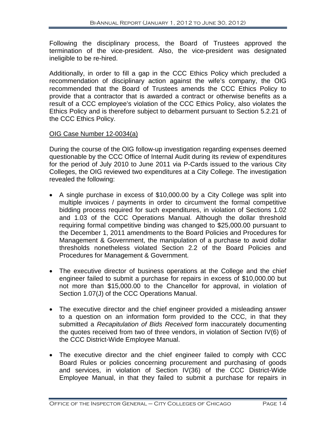Following the disciplinary process, the Board of Trustees approved the termination of the vice-president. Also, the vice-president was designated ineligible to be re-hired.

Additionally, in order to fill a gap in the CCC Ethics Policy which precluded a recommendation of disciplinary action against the wife's company, the OIG recommended that the Board of Trustees amends the CCC Ethics Policy to provide that a contractor that is awarded a contract or otherwise benefits as a result of a CCC employee's violation of the CCC Ethics Policy, also violates the Ethics Policy and is therefore subject to debarment pursuant to Section 5.2.21 of the CCC Ethics Policy.

#### OIG Case Number 12-0034(a)

During the course of the OIG follow-up investigation regarding expenses deemed questionable by the CCC Office of Internal Audit during its review of expenditures for the period of July 2010 to June 2011 via P-Cards issued to the various City Colleges, the OIG reviewed two expenditures at a City College. The investigation revealed the following:

- A single purchase in excess of \$10,000.00 by a City College was split into multiple invoices / payments in order to circumvent the formal competitive bidding process required for such expenditures, in violation of Sections 1.02 and 1.03 of the CCC Operations Manual. Although the dollar threshold requiring formal competitive binding was changed to \$25,000.00 pursuant to the December 1, 2011 amendments to the Board Policies and Procedures for Management & Government, the manipulation of a purchase to avoid dollar thresholds nonetheless violated Section 2.2 of the Board Policies and Procedures for Management & Government.
- The executive director of business operations at the College and the chief engineer failed to submit a purchase for repairs in excess of \$10,000.00 but not more than \$15,000.00 to the Chancellor for approval, in violation of Section 1.07(J) of the CCC Operations Manual.
- The executive director and the chief engineer provided a misleading answer to a question on an information form provided to the CCC, in that they submitted a *Recapitulation of Bids Received* form inaccurately documenting the quotes received from two of three vendors, in violation of Section IV(6) of the CCC District-Wide Employee Manual.
- The executive director and the chief engineer failed to comply with CCC Board Rules or policies concerning procurement and purchasing of goods and services, in violation of Section IV(36) of the CCC District-Wide Employee Manual, in that they failed to submit a purchase for repairs in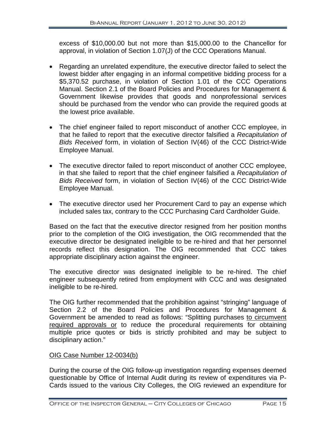excess of \$10,000.00 but not more than \$15,000.00 to the Chancellor for approval, in violation of Section 1.07(J) of the CCC Operations Manual.

- Regarding an unrelated expenditure, the executive director failed to select the lowest bidder after engaging in an informal competitive bidding process for a \$5,370.52 purchase, in violation of Section 1.01 of the CCC Operations Manual. Section 2.1 of the Board Policies and Procedures for Management & Government likewise provides that goods and nonprofessional services should be purchased from the vendor who can provide the required goods at the lowest price available.
- The chief engineer failed to report misconduct of another CCC employee, in that he failed to report that the executive director falsified a *Recapitulation of Bids Received* form, in violation of Section IV(46) of the CCC District-Wide Employee Manual.
- The executive director failed to report misconduct of another CCC employee, in that she failed to report that the chief engineer falsified a *Recapitulation of Bids Received* form, in violation of Section IV(46) of the CCC District-Wide Employee Manual.
- The executive director used her Procurement Card to pay an expense which included sales tax, contrary to the CCC Purchasing Card Cardholder Guide.

Based on the fact that the executive director resigned from her position months prior to the completion of the OIG investigation, the OIG recommended that the executive director be designated ineligible to be re-hired and that her personnel records reflect this designation. The OIG recommended that CCC takes appropriate disciplinary action against the engineer.

The executive director was designated ineligible to be re-hired. The chief engineer subsequently retired from employment with CCC and was designated ineligible to be re-hired.

The OIG further recommended that the prohibition against "stringing" language of Section 2.2 of the Board Policies and Procedures for Management & Government be amended to read as follows: "Splitting purchases to circumvent required approvals or to reduce the procedural requirements for obtaining multiple price quotes or bids is strictly prohibited and may be subject to disciplinary action."

#### OIG Case Number 12-0034(b)

During the course of the OIG follow-up investigation regarding expenses deemed questionable by Office of Internal Audit during its review of expenditures via P-Cards issued to the various City Colleges, the OIG reviewed an expenditure for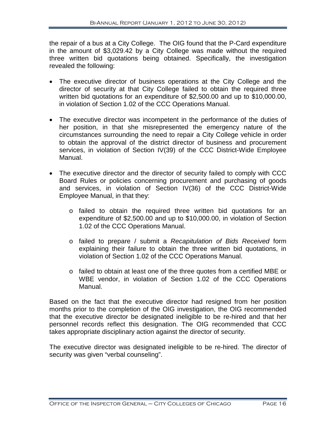the repair of a bus at a City College. The OIG found that the P-Card expenditure in the amount of \$3,029.42 by a City College was made without the required three written bid quotations being obtained. Specifically, the investigation revealed the following:

- The executive director of business operations at the City College and the director of security at that City College failed to obtain the required three written bid quotations for an expenditure of \$2,500.00 and up to \$10,000.00, in violation of Section 1.02 of the CCC Operations Manual.
- The executive director was incompetent in the performance of the duties of her position, in that she misrepresented the emergency nature of the circumstances surrounding the need to repair a City College vehicle in order to obtain the approval of the district director of business and procurement services, in violation of Section IV(39) of the CCC District-Wide Employee Manual.
- The executive director and the director of security failed to comply with CCC Board Rules or policies concerning procurement and purchasing of goods and services, in violation of Section IV(36) of the CCC District-Wide Employee Manual, in that they:
	- o failed to obtain the required three written bid quotations for an expenditure of \$2,500.00 and up to \$10,000.00, in violation of Section 1.02 of the CCC Operations Manual.
	- o failed to prepare / submit a *Recapitulation of Bids Received* form explaining their failure to obtain the three written bid quotations, in violation of Section 1.02 of the CCC Operations Manual.
	- o failed to obtain at least one of the three quotes from a certified MBE or WBE vendor, in violation of Section 1.02 of the CCC Operations Manual.

Based on the fact that the executive director had resigned from her position months prior to the completion of the OIG investigation, the OIG recommended that the executive director be designated ineligible to be re-hired and that her personnel records reflect this designation. The OIG recommended that CCC takes appropriate disciplinary action against the director of security.

The executive director was designated ineligible to be re-hired. The director of security was given "verbal counseling".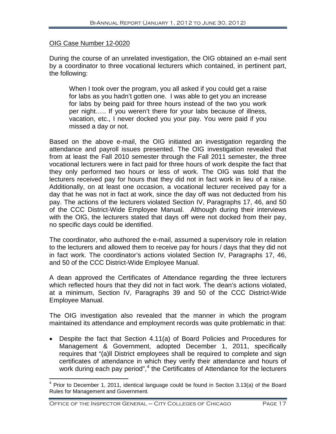#### OIG Case Number 12-0020

During the course of an unrelated investigation, the OIG obtained an e-mail sent by a coordinator to three vocational lecturers which contained, in pertinent part, the following:

When I took over the program, you all asked if you could get a raise for labs as you hadn't gotten one. I was able to get you an increase for labs by being paid for three hours instead of the two you work per night….. If you weren't there for your labs because of illness, vacation, etc., I never docked you your pay. You were paid if you missed a day or not.

Based on the above e-mail, the OIG initiated an investigation regarding the attendance and payroll issues presented. The OIG investigation revealed that from at least the Fall 2010 semester through the Fall 2011 semester, the three vocational lecturers were in fact paid for three hours of work despite the fact that they only performed two hours or less of work. The OIG was told that the lecturers received pay for hours that they did not in fact work in lieu of a raise. Additionally, on at least one occasion, a vocational lecturer received pay for a day that he was not in fact at work, since the day off was not deducted from his pay. The actions of the lecturers violated Section IV, Paragraphs 17, 46, and 50 of the CCC District-Wide Employee Manual. Although during their interviews with the OIG, the lecturers stated that days off were not docked from their pay, no specific days could be identified.

The coordinator, who authored the e-mail, assumed a supervisory role in relation to the lecturers and allowed them to receive pay for hours / days that they did not in fact work. The coordinator's actions violated Section IV, Paragraphs 17, 46, and 50 of the CCC District-Wide Employee Manual.

A dean approved the Certificates of Attendance regarding the three lecturers which reflected hours that they did not in fact work. The dean's actions violated, at a minimum, Section IV, Paragraphs 39 and 50 of the CCC District-Wide Employee Manual.

The OIG investigation also revealed that the manner in which the program maintained its attendance and employment records was quite problematic in that:

• Despite the fact that Section 4.11(a) of Board Policies and Procedures for Management & Government, adopted December 1, 2011, specifically requires that "(a)ll District employees shall be required to complete and sign certificates of attendance in which they verify their attendance and hours of work during each pay period",<sup>[4](#page-18-0)</sup> the Certificates of Attendance for the lecturers

<span id="page-18-0"></span> $4$  Prior to December 1, 2011, identical language could be found in Section 3.13(a) of the Board Rules for Management and Government.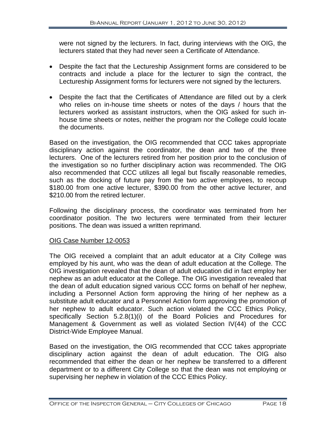were not signed by the lecturers. In fact, during interviews with the OIG, the lecturers stated that they had never seen a Certificate of Attendance.

- Despite the fact that the Lectureship Assignment forms are considered to be contracts and include a place for the lecturer to sign the contract, the Lectureship Assignment forms for lecturers were not signed by the lecturers.
- Despite the fact that the Certificates of Attendance are filled out by a clerk who relies on in-house time sheets or notes of the days / hours that the lecturers worked as assistant instructors, when the OIG asked for such inhouse time sheets or notes, neither the program nor the College could locate the documents.

Based on the investigation, the OIG recommended that CCC takes appropriate disciplinary action against the coordinator, the dean and two of the three lecturers. One of the lecturers retired from her position prior to the conclusion of the investigation so no further disciplinary action was recommended. The OIG also recommended that CCC utilizes all legal but fiscally reasonable remedies, such as the docking of future pay from the two active employees, to recoup \$180.00 from one active lecturer, \$390.00 from the other active lecturer, and \$210.00 from the retired lecturer.

Following the disciplinary process, the coordinator was terminated from her coordinator position. The two lecturers were terminated from their lecturer positions. The dean was issued a written reprimand.

#### OIG Case Number 12-0053

The OIG received a complaint that an adult educator at a City College was employed by his aunt, who was the dean of adult education at the College. The OIG investigation revealed that the dean of adult education did in fact employ her nephew as an adult educator at the College. The OIG investigation revealed that the dean of adult education signed various CCC forms on behalf of her nephew, including a Personnel Action form approving the hiring of her nephew as a substitute adult educator and a Personnel Action form approving the promotion of her nephew to adult educator. Such action violated the CCC Ethics Policy, specifically Section 5.2.8(1)(i) of the Board Policies and Procedures for Management & Government as well as violated Section IV(44) of the CCC District-Wide Employee Manual.

Based on the investigation, the OIG recommended that CCC takes appropriate disciplinary action against the dean of adult education. The OIG also recommended that either the dean or her nephew be transferred to a different department or to a different City College so that the dean was not employing or supervising her nephew in violation of the CCC Ethics Policy.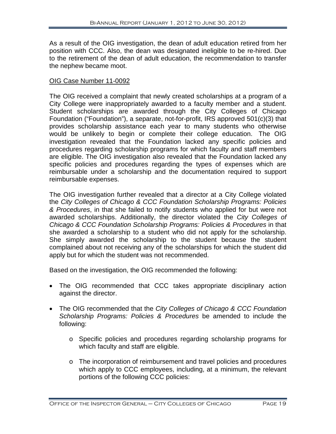As a result of the OIG investigation, the dean of adult education retired from her position with CCC. Also, the dean was designated ineligible to be re-hired. Due to the retirement of the dean of adult education, the recommendation to transfer the nephew became moot.

#### OIG Case Number 11-0092

The OIG received a complaint that newly created scholarships at a program of a City College were inappropriately awarded to a faculty member and a student. Student scholarships are awarded through the City Colleges of Chicago Foundation ("Foundation"), a separate, not-for-profit, IRS approved 501(c)(3) that provides scholarship assistance each year to many students who otherwise would be unlikely to begin or complete their college education. The OIG investigation revealed that the Foundation lacked any specific policies and procedures regarding scholarship programs for which faculty and staff members are eligible. The OIG investigation also revealed that the Foundation lacked any specific policies and procedures regarding the types of expenses which are reimbursable under a scholarship and the documentation required to support reimbursable expenses.

The OIG investigation further revealed that a director at a City College violated the *City Colleges of Chicago & CCC Foundation Scholarship Programs: Policies & Procedures*, in that she failed to notify students who applied for but were not awarded scholarships. Additionally, the director violated the *City Colleges of Chicago & CCC Foundation Scholarship Programs: Policies & Procedures* in that she awarded a scholarship to a student who did not apply for the scholarship. She simply awarded the scholarship to the student because the student complained about not receiving any of the scholarships for which the student did apply but for which the student was not recommended.

Based on the investigation, the OIG recommended the following:

- The OIG recommended that CCC takes appropriate disciplinary action against the director.
- The OIG recommended that the *City Colleges of Chicago & CCC Foundation Scholarship Programs: Policies & Procedures* be amended to include the following:
	- o Specific policies and procedures regarding scholarship programs for which faculty and staff are eligible.
	- o The incorporation of reimbursement and travel policies and procedures which apply to CCC employees, including, at a minimum, the relevant portions of the following CCC policies: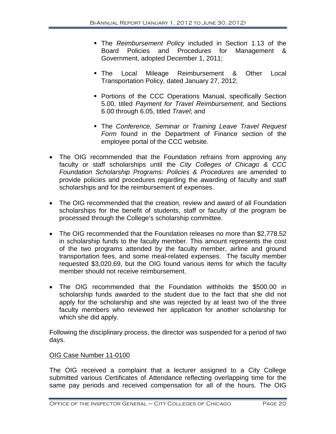- The *Reimbursement Policy* included in Section 1.13 of the Board Policies and Procedures for Management & Government, adopted December 1, 2011;
- **The Local Mileage Reimbursement & Other Local** Transportation Policy, dated January 27, 2012;
- **Portions of the CCC Operations Manual, specifically Section** 5.00, titled *Payment for Travel Reimbursement*, and Sections 6.00 through 6.05, titled *Travel*; and
- The *Conference, Seminar or Training Leave Travel Request Form* found in the Department of Finance section of the employee portal of the CCC website.
- The OIG recommended that the Foundation refrains from approving any faculty or staff scholarships until the *City Colleges of Chicago & CCC Foundation Scholarship Programs: Policies & Procedures* are amended to provide policies and procedures regarding the awarding of faculty and staff scholarships and for the reimbursement of expenses.
- The OIG recommended that the creation, review and award of all Foundation scholarships for the benefit of students, staff or faculty of the program be processed through the College's scholarship committee.
- The OIG recommended that the Foundation releases no more than \$2,778,52 in scholarship funds to the faculty member. This amount represents the cost of the two programs attended by the faculty member, airline and ground transportation fees, and some meal-related expenses. The faculty member requested \$3,020.69, but the OIG found various items for which the faculty member should not receive reimbursement.
- The OIG recommended that the Foundation withholds the \$500.00 in scholarship funds awarded to the student due to the fact that she did not apply for the scholarship and she was rejected by at least two of the three faculty members who reviewed her application for another scholarship for which she did apply.

Following the disciplinary process, the director was suspended for a period of two days.

#### OIG Case Number 11-0100

The OIG received a complaint that a lecturer assigned to a City College submitted various Certificates of Attendance reflecting overlapping time for the same pay periods and received compensation for all of the hours. The OIG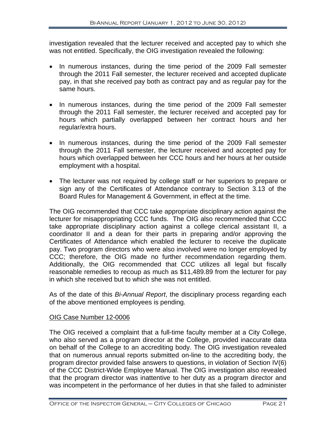investigation revealed that the lecturer received and accepted pay to which she was not entitled. Specifically, the OIG investigation revealed the following:

- In numerous instances, during the time period of the 2009 Fall semester through the 2011 Fall semester, the lecturer received and accepted duplicate pay, in that she received pay both as contract pay and as regular pay for the same hours.
- In numerous instances, during the time period of the 2009 Fall semester through the 2011 Fall semester, the lecturer received and accepted pay for hours which partially overlapped between her contract hours and her regular/extra hours.
- In numerous instances, during the time period of the 2009 Fall semester through the 2011 Fall semester, the lecturer received and accepted pay for hours which overlapped between her CCC hours and her hours at her outside employment with a hospital.
- The lecturer was not required by college staff or her superiors to prepare or sign any of the Certificates of Attendance contrary to Section 3.13 of the Board Rules for Management & Government, in effect at the time.

The OIG recommended that CCC take appropriate disciplinary action against the lecturer for misappropriating CCC funds. The OIG also recommended that CCC take appropriate disciplinary action against a college clerical assistant II, a coordinator II and a dean for their parts in preparing and/or approving the Certificates of Attendance which enabled the lecturer to receive the duplicate pay. Two program directors who were also involved were no longer employed by CCC; therefore, the OIG made no further recommendation regarding them. Additionally, the OIG recommended that CCC utilizes all legal but fiscally reasonable remedies to recoup as much as \$11,489.89 from the lecturer for pay in which she received but to which she was not entitled.

As of the date of this *Bi-Annual Report*, the disciplinary process regarding each of the above mentioned employees is pending.

#### OIG Case Number 12-0006

The OIG received a complaint that a full-time faculty member at a City College, who also served as a program director at the College, provided inaccurate data on behalf of the College to an accrediting body. The OIG investigation revealed that on numerous annual reports submitted on-line to the accrediting body, the program director provided false answers to questions, in violation of Section IV(6) of the CCC District-Wide Employee Manual. The OIG investigation also revealed that the program director was inattentive to her duty as a program director and was incompetent in the performance of her duties in that she failed to administer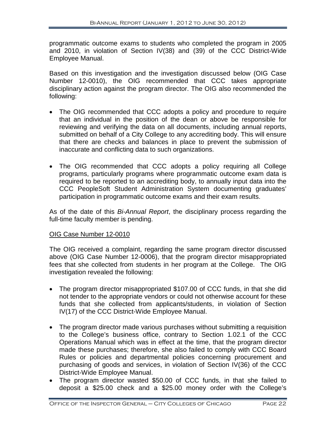programmatic outcome exams to students who completed the program in 2005 and 2010, in violation of Section IV(38) and (39) of the CCC District-Wide Employee Manual.

Based on this investigation and the investigation discussed below (OIG Case Number 12-0010), the OIG recommended that CCC takes appropriate disciplinary action against the program director. The OIG also recommended the following:

- The OIG recommended that CCC adopts a policy and procedure to require that an individual in the position of the dean or above be responsible for reviewing and verifying the data on all documents, including annual reports, submitted on behalf of a City College to any accrediting body. This will ensure that there are checks and balances in place to prevent the submission of inaccurate and conflicting data to such organizations.
- The OIG recommended that CCC adopts a policy requiring all College programs, particularly programs where programmatic outcome exam data is required to be reported to an accrediting body, to annually input data into the CCC PeopleSoft Student Administration System documenting graduates' participation in programmatic outcome exams and their exam results.

As of the date of this *Bi-Annual Report*, the disciplinary process regarding the full-time faculty member is pending.

#### OIG Case Number 12-0010

The OIG received a complaint, regarding the same program director discussed above (OIG Case Number 12-0006), that the program director misappropriated fees that she collected from students in her program at the College. The OIG investigation revealed the following:

- The program director misappropriated \$107.00 of CCC funds, in that she did not tender to the appropriate vendors or could not otherwise account for these funds that she collected from applicants/students, in violation of Section IV(17) of the CCC District-Wide Employee Manual.
- The program director made various purchases without submitting a requisition to the College's business office, contrary to Section 1.02.1 of the CCC Operations Manual which was in effect at the time, that the program director made these purchases; therefore, she also failed to comply with CCC Board Rules or policies and departmental policies concerning procurement and purchasing of goods and services, in violation of Section IV(36) of the CCC District-Wide Employee Manual.
- The program director wasted \$50.00 of CCC funds, in that she failed to deposit a \$25.00 check and a \$25.00 money order with the College's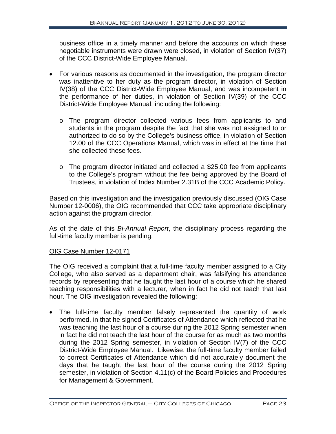business office in a timely manner and before the accounts on which these negotiable instruments were drawn were closed, in violation of Section IV(37) of the CCC District-Wide Employee Manual.

- For various reasons as documented in the investigation, the program director was inattentive to her duty as the program director, in violation of Section IV(38) of the CCC District-Wide Employee Manual, and was incompetent in the performance of her duties, in violation of Section IV(39) of the CCC District-Wide Employee Manual, including the following:
	- o The program director collected various fees from applicants to and students in the program despite the fact that she was not assigned to or authorized to do so by the College's business office, in violation of Section 12.00 of the CCC Operations Manual, which was in effect at the time that she collected these fees.
	- o The program director initiated and collected a \$25.00 fee from applicants to the College's program without the fee being approved by the Board of Trustees, in violation of Index Number 2.31B of the CCC Academic Policy.

Based on this investigation and the investigation previously discussed (OIG Case Number 12-0006), the OIG recommended that CCC take appropriate disciplinary action against the program director.

As of the date of this *Bi-Annual Report*, the disciplinary process regarding the full-time faculty member is pending.

#### OIG Case Number 12-0171

The OIG received a complaint that a full-time faculty member assigned to a City College, who also served as a department chair, was falsifying his attendance records by representing that he taught the last hour of a course which he shared teaching responsibilities with a lecturer, when in fact he did not teach that last hour. The OIG investigation revealed the following:

• The full-time faculty member falsely represented the quantity of work performed, in that he signed Certificates of Attendance which reflected that he was teaching the last hour of a course during the 2012 Spring semester when in fact he did not teach the last hour of the course for as much as two months during the 2012 Spring semester, in violation of Section IV(7) of the CCC District-Wide Employee Manual. Likewise, the full-time faculty member failed to correct Certificates of Attendance which did not accurately document the days that he taught the last hour of the course during the 2012 Spring semester, in violation of Section 4.11(c) of the Board Policies and Procedures for Management & Government.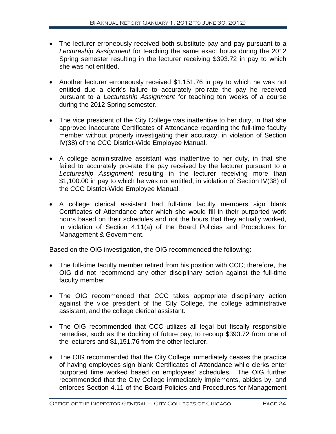- The lecturer erroneously received both substitute pay and pay pursuant to a *Lectureship Assignment* for teaching the same exact hours during the 2012 Spring semester resulting in the lecturer receiving \$393.72 in pay to which she was not entitled.
- Another lecturer erroneously received \$1,151.76 in pay to which he was not entitled due a clerk's failure to accurately pro-rate the pay he received pursuant to a *Lectureship Assignment* for teaching ten weeks of a course during the 2012 Spring semester.
- The vice president of the City College was inattentive to her duty, in that she approved inaccurate Certificates of Attendance regarding the full-time faculty member without properly investigating their accuracy, in violation of Section IV(38) of the CCC District-Wide Employee Manual.
- A college administrative assistant was inattentive to her duty, in that she failed to accurately pro-rate the pay received by the lecturer pursuant to a *Lectureship Assignment* resulting in the lecturer receiving more than \$1,100.00 in pay to which he was not entitled, in violation of Section IV(38) of the CCC District-Wide Employee Manual.
- A college clerical assistant had full-time faculty members sign blank Certificates of Attendance after which she would fill in their purported work hours based on their schedules and not the hours that they actually worked, in violation of Section 4.11(a) of the Board Policies and Procedures for Management & Government.

Based on the OIG investigation, the OIG recommended the following:

- The full-time faculty member retired from his position with CCC; therefore, the OIG did not recommend any other disciplinary action against the full-time faculty member.
- The OIG recommended that CCC takes appropriate disciplinary action against the vice president of the City College, the college administrative assistant, and the college clerical assistant.
- The OIG recommended that CCC utilizes all legal but fiscally responsible remedies, such as the docking of future pay, to recoup \$393.72 from one of the lecturers and \$1,151.76 from the other lecturer.
- The OIG recommended that the City College immediately ceases the practice of having employees sign blank Certificates of Attendance while clerks enter purported time worked based on employees' schedules. The OIG further recommended that the City College immediately implements, abides by, and enforces Section 4.11 of the Board Policies and Procedures for Management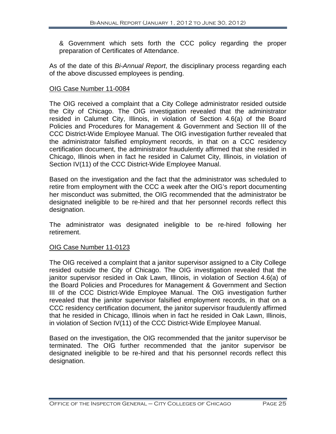& Government which sets forth the CCC policy regarding the proper preparation of Certificates of Attendance.

As of the date of this *Bi-Annual Report*, the disciplinary process regarding each of the above discussed employees is pending.

#### OIG Case Number 11-0084

The OIG received a complaint that a City College administrator resided outside the City of Chicago. The OIG investigation revealed that the administrator resided in Calumet City, Illinois, in violation of Section 4.6(a) of the Board Policies and Procedures for Management & Government and Section III of the CCC District-Wide Employee Manual. The OIG investigation further revealed that the administrator falsified employment records, in that on a CCC residency certification document, the administrator fraudulently affirmed that she resided in Chicago, Illinois when in fact he resided in Calumet City, Illinois, in violation of Section IV(11) of the CCC District-Wide Employee Manual.

Based on the investigation and the fact that the administrator was scheduled to retire from employment with the CCC a week after the OIG's report documenting her misconduct was submitted, the OIG recommended that the administrator be designated ineligible to be re-hired and that her personnel records reflect this designation.

The administrator was designated ineligible to be re-hired following her retirement.

#### OIG Case Number 11-0123

The OIG received a complaint that a janitor supervisor assigned to a City College resided outside the City of Chicago. The OIG investigation revealed that the janitor supervisor resided in Oak Lawn, Illinois, in violation of Section 4.6(a) of the Board Policies and Procedures for Management & Government and Section III of the CCC District-Wide Employee Manual. The OIG investigation further revealed that the janitor supervisor falsified employment records, in that on a CCC residency certification document, the janitor supervisor fraudulently affirmed that he resided in Chicago, Illinois when in fact he resided in Oak Lawn, Illinois, in violation of Section IV(11) of the CCC District-Wide Employee Manual.

Based on the investigation, the OIG recommended that the janitor supervisor be terminated. The OIG further recommended that the janitor supervisor be designated ineligible to be re-hired and that his personnel records reflect this designation.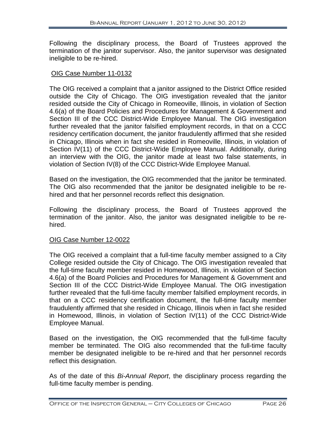Following the disciplinary process, the Board of Trustees approved the termination of the janitor supervisor. Also, the janitor supervisor was designated ineligible to be re-hired.

#### OIG Case Number 11-0132

The OIG received a complaint that a janitor assigned to the District Office resided outside the City of Chicago. The OIG investigation revealed that the janitor resided outside the City of Chicago in Romeoville, Illinois, in violation of Section 4.6(a) of the Board Policies and Procedures for Management & Government and Section III of the CCC District-Wide Employee Manual. The OIG investigation further revealed that the janitor falsified employment records, in that on a CCC residency certification document, the janitor fraudulently affirmed that she resided in Chicago, Illinois when in fact she resided in Romeoville, Illinois, in violation of Section IV(11) of the CCC District-Wide Employee Manual. Additionally, during an interview with the OIG, the janitor made at least two false statements, in violation of Section IV(8) of the CCC District-Wide Employee Manual.

Based on the investigation, the OIG recommended that the janitor be terminated. The OIG also recommended that the janitor be designated ineligible to be rehired and that her personnel records reflect this designation.

Following the disciplinary process, the Board of Trustees approved the termination of the janitor. Also, the janitor was designated ineligible to be rehired.

#### OIG Case Number 12-0022

The OIG received a complaint that a full-time faculty member assigned to a City College resided outside the City of Chicago. The OIG investigation revealed that the full-time faculty member resided in Homewood, Illinois, in violation of Section 4.6(a) of the Board Policies and Procedures for Management & Government and Section III of the CCC District-Wide Employee Manual. The OIG investigation further revealed that the full-time faculty member falsified employment records, in that on a CCC residency certification document, the full-time faculty member fraudulently affirmed that she resided in Chicago, Illinois when in fact she resided in Homewood, Illinois, in violation of Section IV(11) of the CCC District-Wide Employee Manual.

Based on the investigation, the OIG recommended that the full-time faculty member be terminated. The OIG also recommended that the full-time faculty member be designated ineligible to be re-hired and that her personnel records reflect this designation.

As of the date of this *Bi-Annual Report*, the disciplinary process regarding the full-time faculty member is pending.